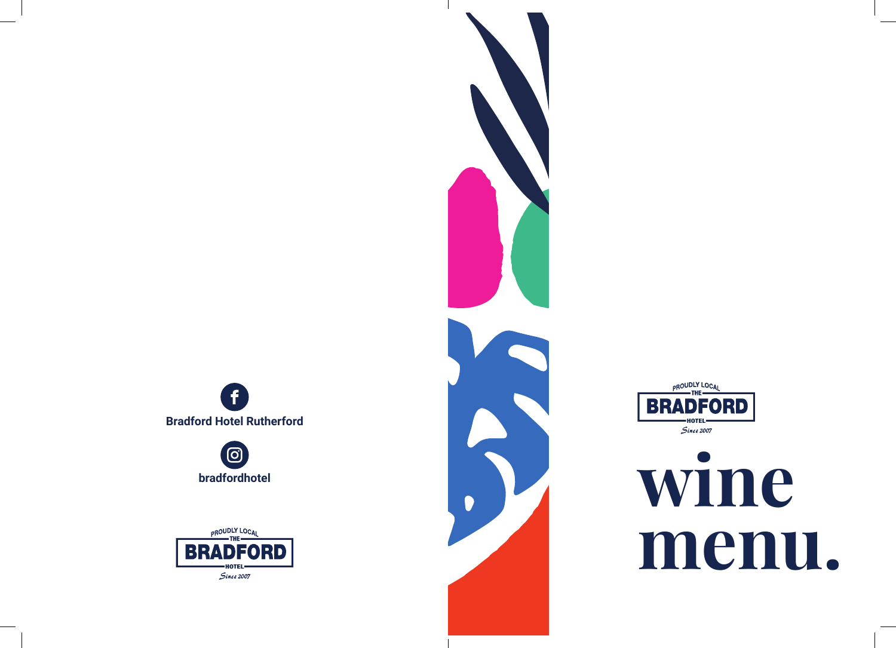

 $\bigcirc$ **bradfordhotel**







## **wine menu.**